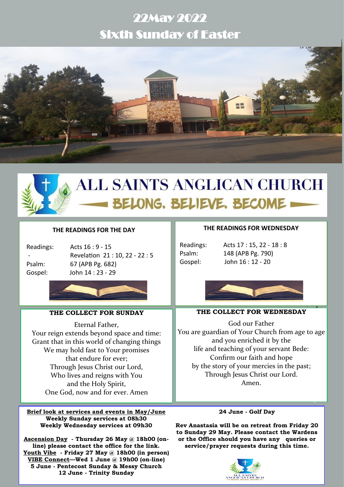## 22May 2022 Sixth Sunday of Easter





# **ALL SAINTS ANGLICAN CHURCH** BELONG. BELIEVE. BECOME

## **THE READINGS FOR THE DAY**

| <b>Readings:</b> |
|------------------|
|                  |
| Psalm:           |
| Gosnel·          |

Acts  $16:9 - 15$ Revelation 21:10, 22 - 22:5 67 (APB Pg. 682) John 14 : 23 - 29



## **THE COLLECT FOR SUNDAY**

Eternal Father, Your reign extends beyond space and time: Grant that in this world of changing things We may hold fast to Your promises that endure for ever; Through Jesus Christ our Lord, Who lives and reigns with You and the Holy Spirit, One God, now and for ever. Amen

**Brief look at services and events in May/June Weekly Sunday services at 08h30 Weekly Wednesday services at 09h30**

**Ascension Day - Thursday 26 May @ 18h00 (online) please contact the office for the link. Youth Vibe - Friday 27 May @ 18h00 (in person) VIBE Connect—Wed 1 June @ 19h00 (on-line) 5 June - Pentecost Sunday & Messy Church 12 June - Trinity Sunday**

## **THE READINGS FOR WEDNESDAY**

Readings: Acts 17 : 15, 22 - 18 : 8 Psalm: 148 (APB Pg. 790) Gospel: John 16 : 12 - 20



## **THE COLLECT FOR WEDNESDAY**

God our Father You are guardian of Your Church from age to age and you enriched it by the life and teaching of your servant Bede: Confirm our faith and hope by the story of your mercies in the past; Through Jesus Christ our Lord. Amen.

#### **24 June - Golf Day**

**Rev Anastasia will be on retreat from Friday 20 to Sunday 29 May. Please contact the Wardens or the Office should you have any queries or service/prayer requests during this time.**